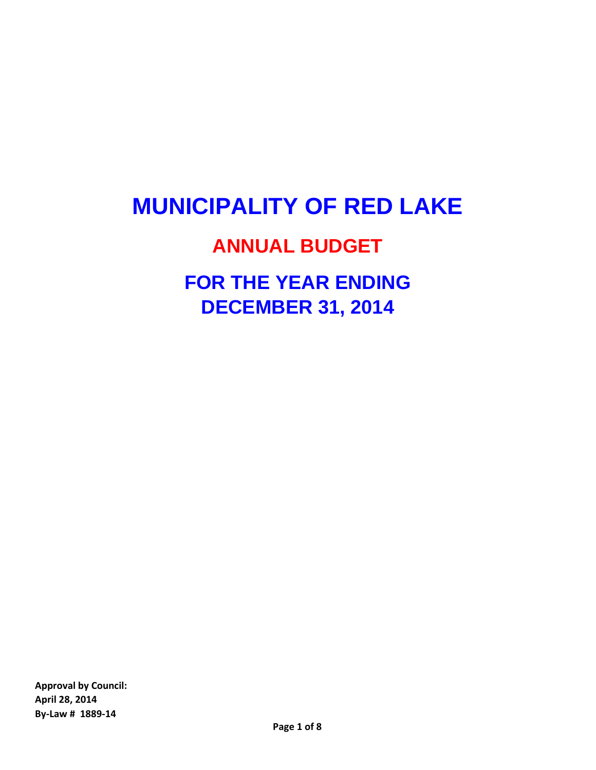# **MUNICIPALITY OF RED LAKE**

# **ANNUAL BUDGET**

**FOR THE YEAR ENDING DECEMBER 31, 2014**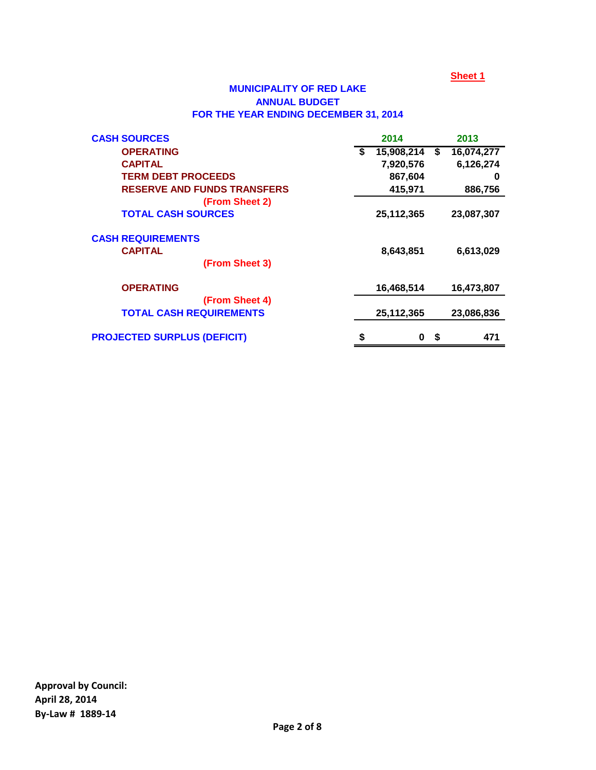## **MUNICIPALITY OF RED LAKE ANNUAL BUDGET FOR THE YEAR ENDING DECEMBER 31, 2014**

| <b>CASH SOURCES</b>                |   | 2014       |      | 2013       |
|------------------------------------|---|------------|------|------------|
| <b>OPERATING</b>                   | S | 15,908,214 | \$   | 16,074,277 |
| <b>CAPITAL</b>                     |   | 7,920,576  |      | 6,126,274  |
| <b>TERM DEBT PROCEEDS</b>          |   | 867,604    |      | 0          |
| <b>RESERVE AND FUNDS TRANSFERS</b> |   | 415,971    |      | 886,756    |
| (From Sheet 2)                     |   |            |      |            |
| <b>TOTAL CASH SOURCES</b>          |   | 25,112,365 |      | 23,087,307 |
| <b>CASH REQUIREMENTS</b>           |   |            |      |            |
| <b>CAPITAL</b>                     |   | 8,643,851  |      | 6,613,029  |
| (From Sheet 3)                     |   |            |      |            |
| <b>OPERATING</b>                   |   | 16,468,514 |      | 16,473,807 |
| (From Sheet 4)                     |   |            |      |            |
| <b>TOTAL CASH REQUIREMENTS</b>     |   | 25,112,365 |      | 23,086,836 |
| <b>PROJECTED SURPLUS (DEFICIT)</b> |   | 0          | - \$ | 471        |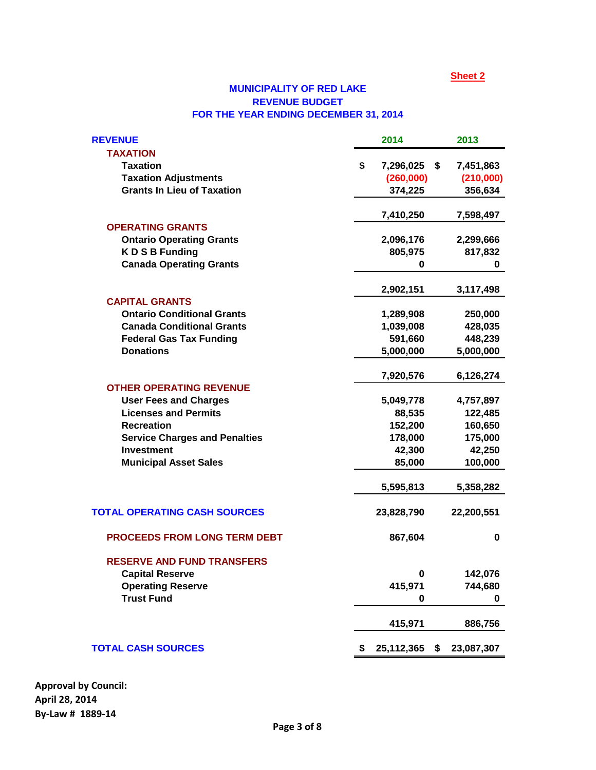## **MUNICIPALITY OF RED LAKE REVENUE BUDGET FOR THE YEAR ENDING DECEMBER 31, 2014**

| <b>REVENUE</b>                       | 2014                   | 2013       |
|--------------------------------------|------------------------|------------|
| <b>TAXATION</b>                      |                        |            |
| <b>Taxation</b>                      | \$<br>7,296,025<br>\$  | 7,451,863  |
| <b>Taxation Adjustments</b>          | (260,000)              | (210,000)  |
| <b>Grants In Lieu of Taxation</b>    | 374,225                | 356,634    |
|                                      | 7,410,250              | 7,598,497  |
| <b>OPERATING GRANTS</b>              |                        |            |
| <b>Ontario Operating Grants</b>      | 2,096,176              | 2,299,666  |
| <b>KDSB Funding</b>                  | 805,975                | 817,832    |
| <b>Canada Operating Grants</b>       | 0                      | 0          |
|                                      | 2,902,151              | 3,117,498  |
| <b>CAPITAL GRANTS</b>                |                        |            |
| <b>Ontario Conditional Grants</b>    | 1,289,908              | 250,000    |
| <b>Canada Conditional Grants</b>     | 1,039,008              | 428,035    |
| <b>Federal Gas Tax Funding</b>       | 591,660                | 448,239    |
| <b>Donations</b>                     | 5,000,000              | 5,000,000  |
|                                      | 7,920,576              | 6,126,274  |
| <b>OTHER OPERATING REVENUE</b>       |                        |            |
| <b>User Fees and Charges</b>         | 5,049,778              | 4,757,897  |
| <b>Licenses and Permits</b>          | 88,535                 | 122,485    |
| <b>Recreation</b>                    | 152,200                | 160,650    |
| <b>Service Charges and Penalties</b> | 178,000                | 175,000    |
| <b>Investment</b>                    | 42,300                 | 42,250     |
| <b>Municipal Asset Sales</b>         | 85,000                 | 100,000    |
|                                      | 5,595,813              | 5,358,282  |
| <b>TOTAL OPERATING CASH SOURCES</b>  | 23,828,790             | 22,200,551 |
| <b>PROCEEDS FROM LONG TERM DEBT</b>  | 867,604                | 0          |
| <b>RESERVE AND FUND TRANSFERS</b>    |                        |            |
| <b>Capital Reserve</b>               | 0                      | 142,076    |
| <b>Operating Reserve</b>             | 415,971                | 744,680    |
| <b>Trust Fund</b>                    | 0                      | 0          |
|                                      | 415,971                | 886,756    |
| <b>TOTAL CASH SOURCES</b>            | \$<br>25,112,365<br>\$ | 23,087,307 |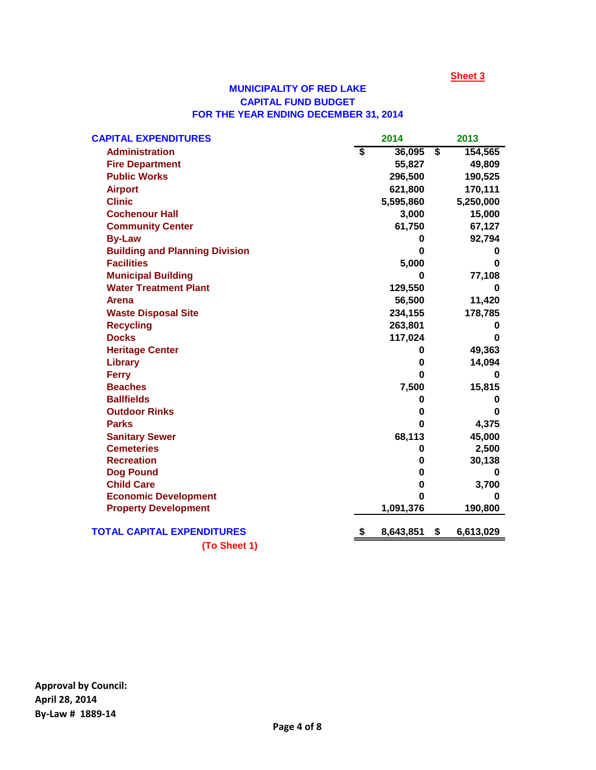## **MUNICIPALITY OF RED LAKE CAPITAL FUND BUDGET FOR THE YEAR ENDING DECEMBER 31, 2014**

| <b>CAPITAL EXPENDITURES</b>           |                             | 2014      | 2013            |
|---------------------------------------|-----------------------------|-----------|-----------------|
| <b>Administration</b>                 | $\overline{\boldsymbol{s}}$ | 36,095    | \$<br>154,565   |
| <b>Fire Department</b>                |                             | 55,827    | 49,809          |
| <b>Public Works</b>                   |                             | 296,500   | 190,525         |
| <b>Airport</b>                        |                             | 621,800   | 170,111         |
| <b>Clinic</b>                         |                             | 5,595,860 | 5,250,000       |
| <b>Cochenour Hall</b>                 |                             | 3,000     | 15,000          |
| <b>Community Center</b>               |                             | 61,750    | 67,127          |
| <b>By-Law</b>                         |                             | 0         | 92,794          |
| <b>Building and Planning Division</b> |                             | 0         | 0               |
| <b>Facilities</b>                     |                             | 5,000     | 0               |
| <b>Municipal Building</b>             |                             | O         | 77,108          |
| <b>Water Treatment Plant</b>          |                             | 129,550   | 0               |
| <b>Arena</b>                          |                             | 56,500    | 11,420          |
| <b>Waste Disposal Site</b>            |                             | 234,155   | 178,785         |
| <b>Recycling</b>                      |                             | 263,801   | 0               |
| <b>Docks</b>                          |                             | 117,024   | 0               |
| <b>Heritage Center</b>                |                             | 0         | 49,363          |
| <b>Library</b>                        |                             | 0         | 14,094          |
| <b>Ferry</b>                          |                             | O         | 0               |
| <b>Beaches</b>                        |                             | 7,500     | 15,815          |
| <b>Ballfields</b>                     |                             | 0         | 0               |
| <b>Outdoor Rinks</b>                  |                             | 0         | 0               |
| <b>Parks</b>                          |                             | 0         | 4,375           |
| <b>Sanitary Sewer</b>                 |                             | 68,113    | 45,000          |
| <b>Cemeteries</b>                     |                             | 0         | 2,500           |
| <b>Recreation</b>                     |                             | 0         | 30,138          |
| <b>Dog Pound</b>                      |                             | 0         | 0               |
| <b>Child Care</b>                     |                             | 0         | 3,700           |
| <b>Economic Development</b>           |                             | ŋ         | 0               |
| <b>Property Development</b>           |                             | 1,091,376 | 190,800         |
| <b>TOTAL CAPITAL EXPENDITURES</b>     | \$                          | 8,643,851 | \$<br>6,613,029 |
| (To Sheet 1)                          |                             |           |                 |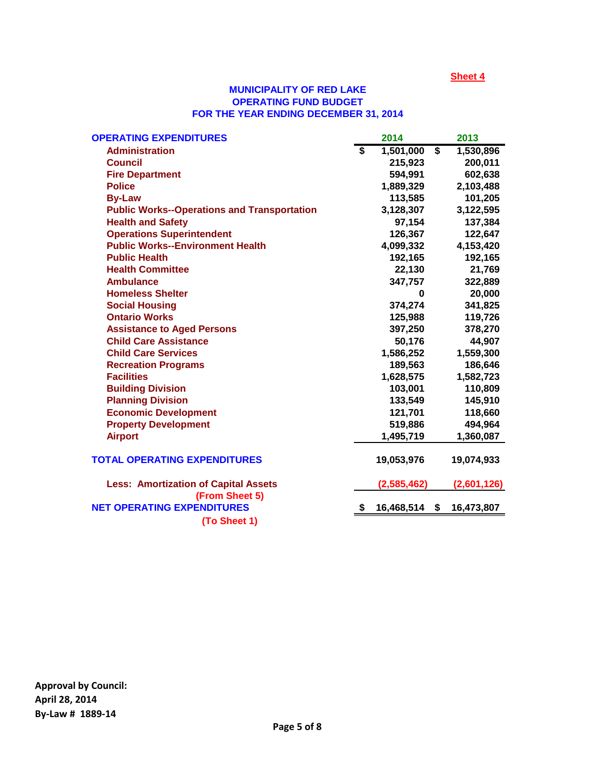#### **MUNICIPALITY OF RED LAKE FOR THE YEAR ENDING DECEMBER 31, 2014 OPERATING FUND BUDGET**

| <b>OPERATING EXPENDITURES</b>                      |                         | 2014        |                         | 2013        |
|----------------------------------------------------|-------------------------|-------------|-------------------------|-------------|
| <b>Administration</b>                              | $\overline{\mathbf{s}}$ | 1,501,000   | $\overline{\mathbf{s}}$ | 1,530,896   |
| <b>Council</b>                                     |                         | 215,923     |                         | 200,011     |
| <b>Fire Department</b>                             |                         | 594,991     |                         | 602,638     |
| <b>Police</b>                                      |                         | 1,889,329   |                         | 2,103,488   |
| <b>By-Law</b>                                      |                         | 113,585     |                         | 101,205     |
| <b>Public Works--Operations and Transportation</b> |                         | 3,128,307   |                         | 3,122,595   |
| <b>Health and Safety</b>                           |                         | 97,154      |                         | 137,384     |
| <b>Operations Superintendent</b>                   |                         | 126,367     |                         | 122,647     |
| <b>Public Works--Environment Health</b>            |                         | 4,099,332   |                         | 4,153,420   |
| <b>Public Health</b>                               |                         | 192,165     |                         | 192,165     |
| <b>Health Committee</b>                            |                         | 22,130      |                         | 21,769      |
| <b>Ambulance</b>                                   |                         | 347,757     |                         | 322,889     |
| <b>Homeless Shelter</b>                            |                         | 0           |                         | 20,000      |
| <b>Social Housing</b>                              |                         | 374,274     |                         | 341,825     |
| <b>Ontario Works</b>                               |                         | 125,988     |                         | 119,726     |
| <b>Assistance to Aged Persons</b>                  |                         | 397,250     |                         | 378,270     |
| <b>Child Care Assistance</b>                       |                         | 50,176      |                         | 44,907      |
| <b>Child Care Services</b>                         |                         | 1,586,252   |                         | 1,559,300   |
| <b>Recreation Programs</b>                         |                         | 189,563     |                         | 186,646     |
| <b>Facilities</b>                                  |                         | 1,628,575   |                         | 1,582,723   |
| <b>Building Division</b>                           |                         | 103,001     |                         | 110,809     |
| <b>Planning Division</b>                           |                         | 133,549     |                         | 145,910     |
| <b>Economic Development</b>                        |                         | 121,701     |                         | 118,660     |
| <b>Property Development</b>                        |                         | 519,886     |                         | 494,964     |
| <b>Airport</b>                                     |                         | 1,495,719   |                         | 1,360,087   |
| <b>TOTAL OPERATING EXPENDITURES</b>                |                         | 19,053,976  |                         | 19,074,933  |
| <b>Less: Amortization of Capital Assets</b>        |                         | (2,585,462) |                         | (2,601,126) |
| (From Sheet 5)                                     |                         |             |                         |             |
| <b>NET OPERATING EXPENDITURES</b>                  |                         | 16,468,514  | \$                      | 16,473,807  |
| (To Sheet 1)                                       |                         |             |                         |             |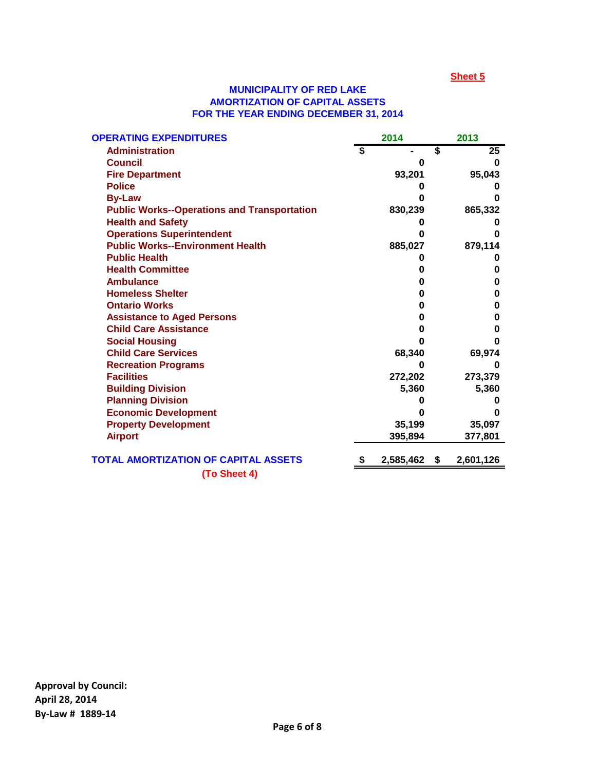#### **AMORTIZATION OF CAPITAL ASSETS FOR THE YEAR ENDING DECEMBER 31, 2014 MUNICIPALITY OF RED LAKE**

| <b>OPERATING EXPENDITURES</b>                      | 2014 |           | 2013 |           |
|----------------------------------------------------|------|-----------|------|-----------|
| <b>Administration</b>                              |      |           | \$   | 25        |
| <b>Council</b>                                     |      | O         |      | O         |
| <b>Fire Department</b>                             |      | 93,201    |      | 95,043    |
| <b>Police</b>                                      |      |           |      |           |
| <b>By-Law</b>                                      |      |           |      |           |
| <b>Public Works--Operations and Transportation</b> |      | 830,239   |      | 865,332   |
| <b>Health and Safety</b>                           |      |           |      |           |
| <b>Operations Superintendent</b>                   |      | n         |      |           |
| <b>Public Works--Environment Health</b>            |      | 885,027   |      | 879,114   |
| <b>Public Health</b>                               |      |           |      |           |
| <b>Health Committee</b>                            |      | O         |      | O         |
| <b>Ambulance</b>                                   |      | 0         |      | 0         |
| <b>Homeless Shelter</b>                            |      | O         |      | O         |
| <b>Ontario Works</b>                               |      | 0         |      | O         |
| <b>Assistance to Aged Persons</b>                  |      | O         |      | O         |
| <b>Child Care Assistance</b>                       |      | O         |      | O         |
| <b>Social Housing</b>                              |      | n         |      |           |
| <b>Child Care Services</b>                         |      | 68,340    |      | 69,974    |
| <b>Recreation Programs</b>                         |      | 0         |      | O         |
| <b>Facilities</b>                                  |      | 272,202   |      | 273,379   |
| <b>Building Division</b>                           |      | 5,360     |      | 5,360     |
| <b>Planning Division</b>                           |      |           |      |           |
| <b>Economic Development</b>                        |      |           |      |           |
| <b>Property Development</b>                        |      | 35,199    |      | 35,097    |
| <b>Airport</b>                                     |      | 395,894   |      | 377,801   |
| <b>TOTAL AMORTIZATION OF CAPITAL ASSETS</b>        | S    | 2,585,462 | \$   | 2,601,126 |
| (To Sheet 4)                                       |      |           |      |           |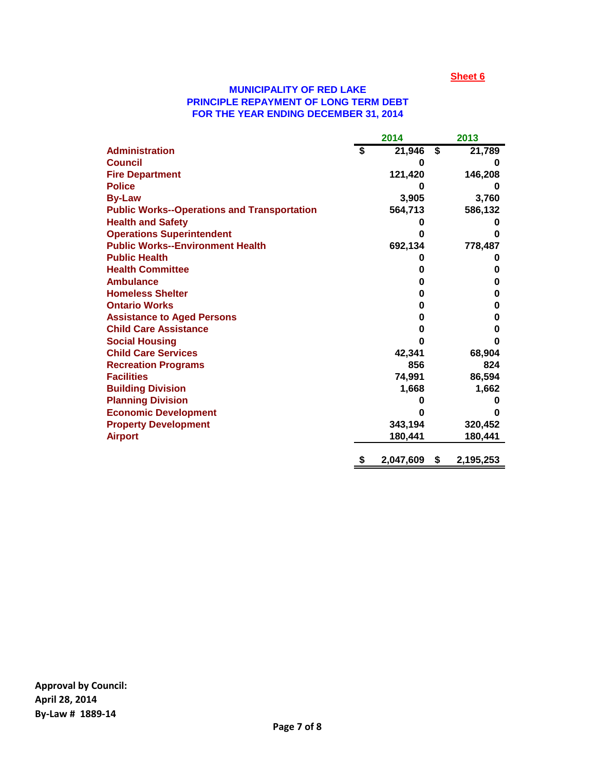#### **MUNICIPALITY OF RED LAKE PRINCIPLE REPAYMENT OF LONG TERM DEBT FOR THE YEAR ENDING DECEMBER 31, 2014**

|                                                    | 2014 |           |    | 2013      |  |
|----------------------------------------------------|------|-----------|----|-----------|--|
| <b>Administration</b>                              | \$   | 21,946    | S  | 21,789    |  |
| <b>Council</b>                                     |      | 0         |    | 0         |  |
| <b>Fire Department</b>                             |      | 121,420   |    | 146,208   |  |
| <b>Police</b>                                      |      |           |    | 0         |  |
| <b>By-Law</b>                                      |      | 3,905     |    | 3,760     |  |
| <b>Public Works--Operations and Transportation</b> |      | 564,713   |    | 586,132   |  |
| <b>Health and Safety</b>                           |      |           |    | o         |  |
| <b>Operations Superintendent</b>                   |      | O         |    | O         |  |
| <b>Public Works--Environment Health</b>            |      | 692,134   |    | 778,487   |  |
| <b>Public Health</b>                               |      |           |    | o         |  |
| <b>Health Committee</b>                            |      | O         |    | 0         |  |
| <b>Ambulance</b>                                   |      | 0         |    | 0         |  |
| <b>Homeless Shelter</b>                            |      | 0         |    | 0         |  |
| <b>Ontario Works</b>                               |      | 0         |    | 0         |  |
| <b>Assistance to Aged Persons</b>                  |      | 0         |    | 0         |  |
| <b>Child Care Assistance</b>                       |      | O         |    | 0         |  |
| <b>Social Housing</b>                              |      | n         |    | O         |  |
| <b>Child Care Services</b>                         |      | 42,341    |    | 68,904    |  |
| <b>Recreation Programs</b>                         |      | 856       |    | 824       |  |
| <b>Facilities</b>                                  |      | 74,991    |    | 86,594    |  |
| <b>Building Division</b>                           |      | 1,668     |    | 1,662     |  |
| <b>Planning Division</b>                           |      |           |    | O         |  |
| <b>Economic Development</b>                        |      |           |    |           |  |
| <b>Property Development</b>                        |      | 343,194   |    | 320,452   |  |
| <b>Airport</b>                                     |      | 180,441   |    | 180,441   |  |
|                                                    | \$   | 2,047,609 | \$ | 2,195,253 |  |